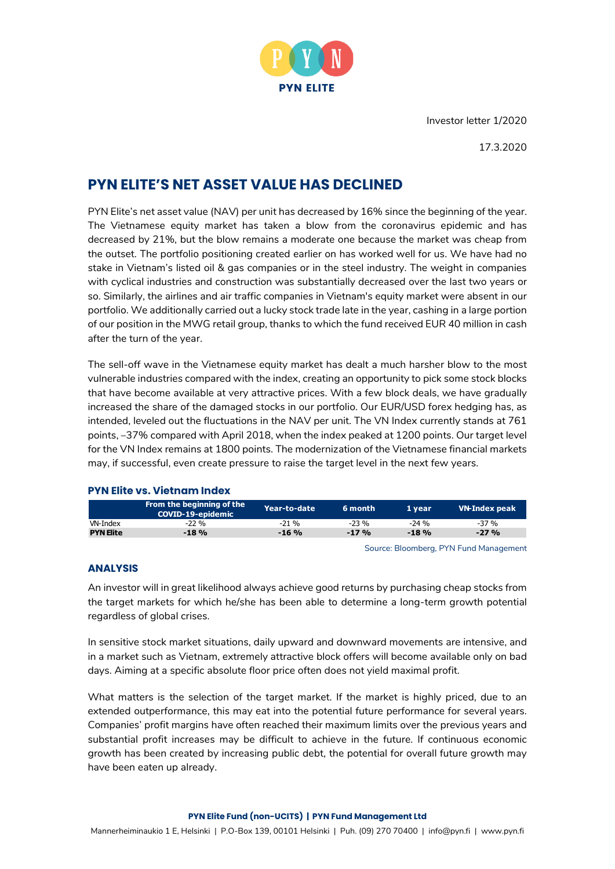

Investor letter 1/2020

17.3.2020

# **PYN ELITE'S NET ASSET VALUE HAS DECLINED**

PYN Elite's net asset value (NAV) per unit has decreased by 16% since the beginning of the year. The Vietnamese equity market has taken a blow from the coronavirus epidemic and has decreased by 21%, but the blow remains a moderate one because the market was cheap from the outset. The portfolio positioning created earlier on has worked well for us. We have had no stake in Vietnam's listed oil & gas companies or in the steel industry. The weight in companies with cyclical industries and construction was substantially decreased over the last two years or so. Similarly, the airlines and air traffic companies in Vietnam's equity market were absent in our portfolio. We additionally carried out a lucky stock trade late in the year, cashing in a large portion of our position in the MWG retail group, thanks to which the fund received EUR 40 million in cash after the turn of the year.

The sell-off wave in the Vietnamese equity market has dealt a much harsher blow to the most vulnerable industries compared with the index, creating an opportunity to pick some stock blocks that have become available at very attractive prices. With a few block deals, we have gradually increased the share of the damaged stocks in our portfolio. Our EUR/USD forex hedging has, as intended, leveled out the fluctuations in the NAV per unit. The VN Index currently stands at 761 points, –37% compared with April 2018, when the index peaked at 1200 points. Our target level for the VN Index remains at 1800 points. The modernization of the Vietnamese financial markets may, if successful, even create pressure to raise the target level in the next few years.

### **PYN Elite vs. Vietnam Index**

|                  | From the beginning of the<br><b>COVID-19-epidemic</b> | Year-to-date | 6 month | 1 vear  | VN-Index peak |
|------------------|-------------------------------------------------------|--------------|---------|---------|---------------|
| VN-Index         | $-22\%$                                               | $-21\%$      | $-23%$  | $-24\%$ | -37 %         |
| <b>PYN Elite</b> | $-18%$                                                | $-16%$       | $-17%$  | $-18%$  | $-27%$        |

Source: Bloomberg, PYN Fund Management

### **ANALYSIS**

An investor will in great likelihood always achieve good returns by purchasing cheap stocks from the target markets for which he/she has been able to determine a long-term growth potential regardless of global crises.

In sensitive stock market situations, daily upward and downward movements are intensive, and in a market such as Vietnam, extremely attractive block offers will become available only on bad days. Aiming at a specific absolute floor price often does not yield maximal profit.

What matters is the selection of the target market. If the market is highly priced, due to an extended outperformance, this may eat into the potential future performance for several years. Companies' profit margins have often reached their maximum limits over the previous years and substantial profit increases may be difficult to achieve in the future. If continuous economic growth has been created by increasing public debt, the potential for overall future growth may have been eaten up already.

#### **PYN Elite Fund (non-UCITS) | PYN Fund Management Ltd**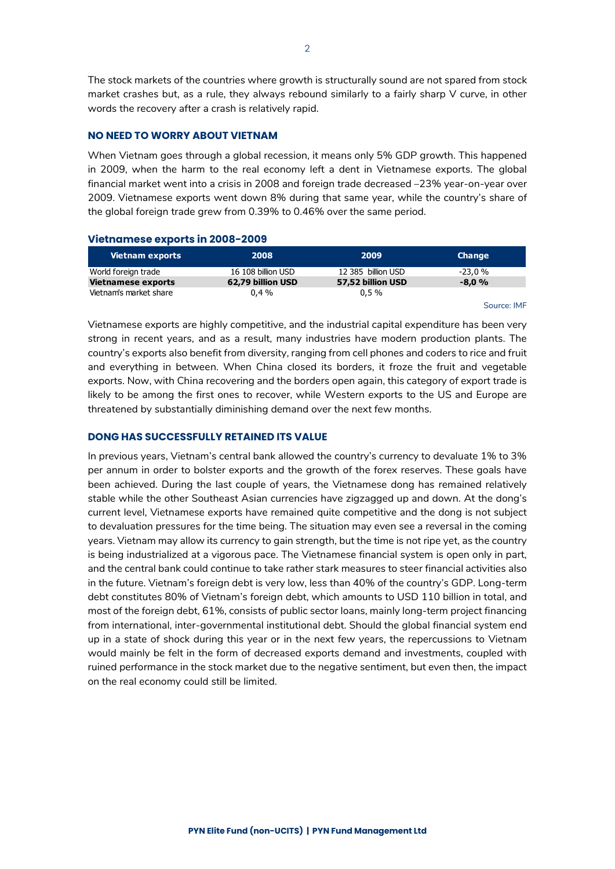The stock markets of the countries where growth is structurally sound are not spared from stock market crashes but, as a rule, they always rebound similarly to a fairly sharp V curve, in other words the recovery after a crash is relatively rapid.

### **NO NEED TO WORRY ABOUT VIETNAM**

When Vietnam goes through a global recession, it means only 5% GDP growth. This happened in 2009, when the harm to the real economy left a dent in Vietnamese exports. The global financial market went into a crisis in 2008 and foreign trade decreased –23% year-on-year over 2009. Vietnamese exports went down 8% during that same year, while the country's share of the global foreign trade grew from 0.39% to 0.46% over the same period.

### **Vietnamese exports in 2008-2009**

| <b>Vietnam exports</b>    | 2008               | 2009               | <b>Change</b> |
|---------------------------|--------------------|--------------------|---------------|
| World foreign trade       | 16 108 billion USD | 12 385 billion USD | $-23.0%$      |
| <b>Vietnamese exports</b> | 62.79 billion USD  | 57,52 billion USD  | $-8.0%$       |
| Vietnam's market share    | $0.4\%$            | 0.5%               |               |

Source: IMF

Vietnamese exports are highly competitive, and the industrial capital expenditure has been very strong in recent years, and as a result, many industries have modern production plants. The country's exports also benefit from diversity, ranging from cell phones and coders to rice and fruit and everything in between. When China closed its borders, it froze the fruit and vegetable exports. Now, with China recovering and the borders open again, this category of export trade is likely to be among the first ones to recover, while Western exports to the US and Europe are threatened by substantially diminishing demand over the next few months.

### **DONG HAS SUCCESSFULLY RETAINED ITS VALUE**

In previous years, Vietnam's central bank allowed the country's currency to devaluate 1% to 3% per annum in order to bolster exports and the growth of the forex reserves. These goals have been achieved. During the last couple of years, the Vietnamese dong has remained relatively stable while the other Southeast Asian currencies have zigzagged up and down. At the dong's current level, Vietnamese exports have remained quite competitive and the dong is not subject to devaluation pressures for the time being. The situation may even see a reversal in the coming years. Vietnam may allow its currency to gain strength, but the time is not ripe yet, as the country is being industrialized at a vigorous pace. The Vietnamese financial system is open only in part, and the central bank could continue to take rather stark measures to steer financial activities also in the future. Vietnam's foreign debt is very low, less than 40% of the country's GDP. Long-term debt constitutes 80% of Vietnam's foreign debt, which amounts to USD 110 billion in total, and most of the foreign debt, 61%, consists of public sector loans, mainly long-term project financing from international, inter-governmental institutional debt. Should the global financial system end up in a state of shock during this year or in the next few years, the repercussions to Vietnam would mainly be felt in the form of decreased exports demand and investments, coupled with ruined performance in the stock market due to the negative sentiment, but even then, the impact on the real economy could still be limited.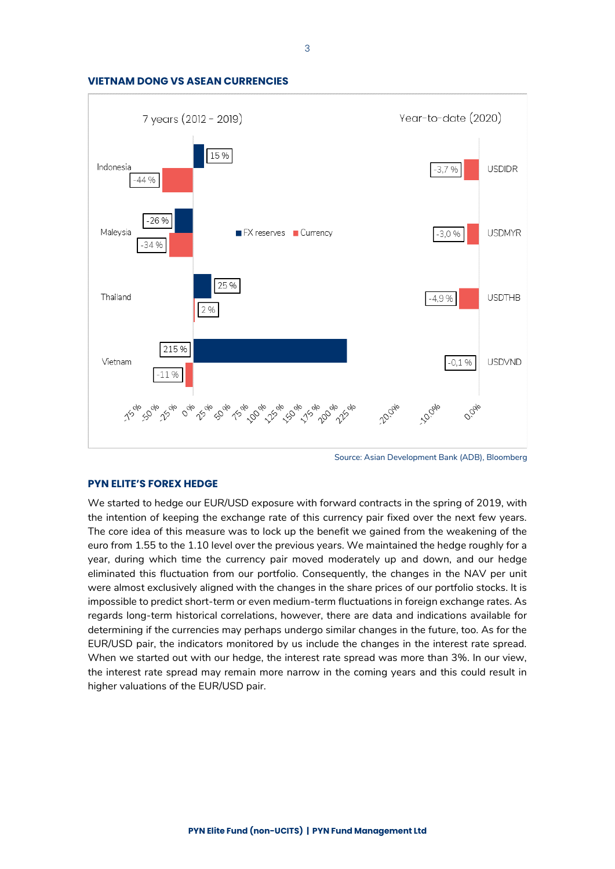



Source: Asian Development Bank (ADB), Bloomberg

### **PYN ELITE'S FOREX HEDGE**

We started to hedge our EUR/USD exposure with forward contracts in the spring of 2019, with the intention of keeping the exchange rate of this currency pair fixed over the next few years. The core idea of this measure was to lock up the benefit we gained from the weakening of the euro from 1.55 to the 1.10 level over the previous years. We maintained the hedge roughly for a year, during which time the currency pair moved moderately up and down, and our hedge eliminated this fluctuation from our portfolio. Consequently, the changes in the NAV per unit were almost exclusively aligned with the changes in the share prices of our portfolio stocks. It is impossible to predict short-term or even medium-term fluctuations in foreign exchange rates. As regards long-term historical correlations, however, there are data and indications available for determining if the currencies may perhaps undergo similar changes in the future, too. As for the EUR/USD pair, the indicators monitored by us include the changes in the interest rate spread. When we started out with our hedge, the interest rate spread was more than 3%. In our view, the interest rate spread may remain more narrow in the coming years and this could result in higher valuations of the EUR/USD pair.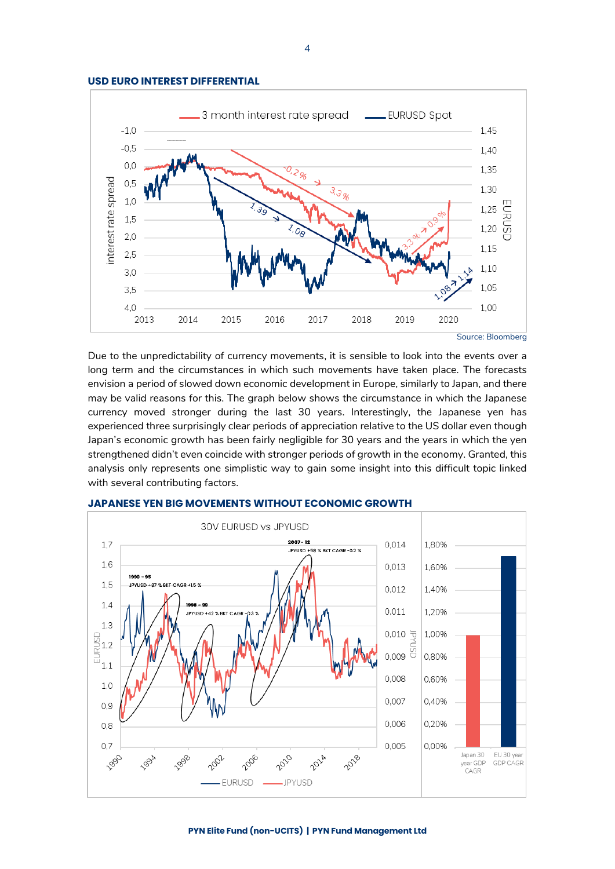



Due to the unpredictability of currency movements, it is sensible to look into the events over a long term and the circumstances in which such movements have taken place. The forecasts envision a period of slowed down economic development in Europe, similarly to Japan, and there may be valid reasons for this. The graph below shows the circumstance in which the Japanese currency moved stronger during the last 30 years. Interestingly, the Japanese yen has experienced three surprisingly clear periods of appreciation relative to the US dollar even though Japan's economic growth has been fairly negligible for 30 years and the years in which the yen strengthened didn't even coincide with stronger periods of growth in the economy. Granted, this analysis only represents one simplistic way to gain some insight into this difficult topic linked with several contributing factors.



### **JAPANESE YEN BIG MOVEMENTS WITHOUT ECONOMIC GROWTH**

#### **PYN Elite Fund (non-UCITS) | PYN Fund Management Ltd**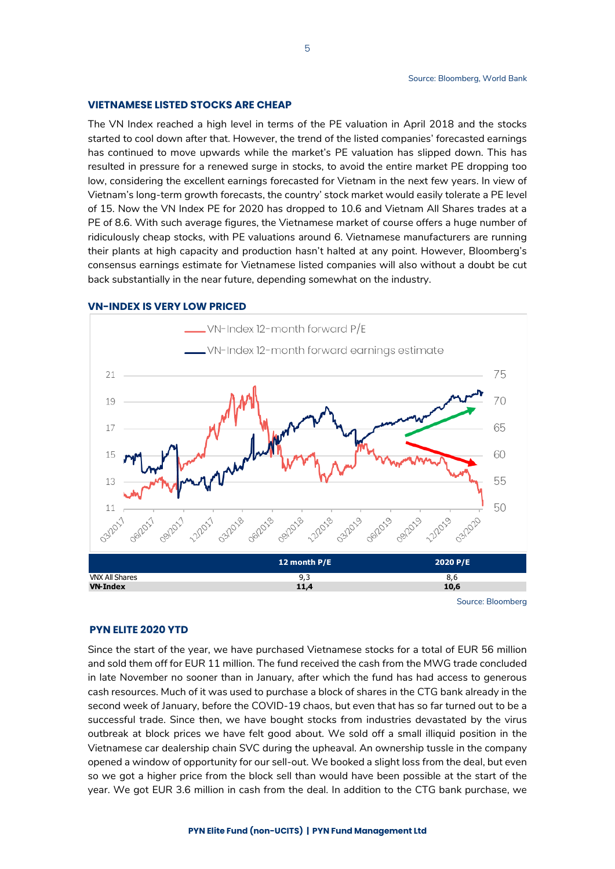### **VIETNAMESE LISTED STOCKS ARE CHEAP**

The VN Index reached a high level in terms of the PE valuation in April 2018 and the stocks started to cool down after that. However, the trend of the listed companies' forecasted earnings has continued to move upwards while the market's PE valuation has slipped down. This has resulted in pressure for a renewed surge in stocks, to avoid the entire market PE dropping too low, considering the excellent earnings forecasted for Vietnam in the next few years. In view of Vietnam's long-term growth forecasts, the country' stock market would easily tolerate a PE level of 15. Now the VN Index PE for 2020 has dropped to 10.6 and Vietnam All Shares trades at a PE of 8.6. With such average figures, the Vietnamese market of course offers a huge number of ridiculously cheap stocks, with PE valuations around 6. Vietnamese manufacturers are running their plants at high capacity and production hasn't halted at any point. However, Bloomberg's consensus earnings estimate for Vietnamese listed companies will also without a doubt be cut back substantially in the near future, depending somewhat on the industry.



#### **VN-INDEX IS VERY LOW PRICED**

Source: Bloomberg

### **PYN ELITE 2020 YTD**

Since the start of the year, we have purchased Vietnamese stocks for a total of EUR 56 million and sold them off for EUR 11 million. The fund received the cash from the MWG trade concluded in late November no sooner than in January, after which the fund has had access to generous cash resources. Much of it was used to purchase a block of shares in the CTG bank already in the second week of January, before the COVID-19 chaos, but even that has so far turned out to be a successful trade. Since then, we have bought stocks from industries devastated by the virus outbreak at block prices we have felt good about. We sold off a small illiquid position in the Vietnamese car dealership chain SVC during the upheaval. An ownership tussle in the company opened a window of opportunity for our sell-out. We booked a slight loss from the deal, but even so we got a higher price from the block sell than would have been possible at the start of the year. We got EUR 3.6 million in cash from the deal. In addition to the CTG bank purchase, we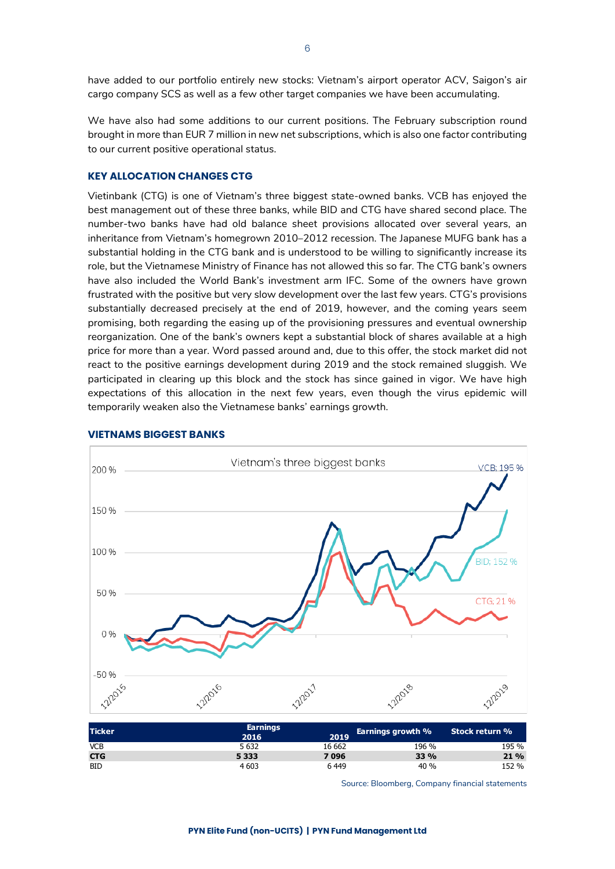have added to our portfolio entirely new stocks: Vietnam's airport operator ACV, Saigon's air cargo company SCS as well as a few other target companies we have been accumulating.

We have also had some additions to our current positions. The February subscription round brought in more than EUR 7 million in new net subscriptions, which is also one factor contributing to our current positive operational status.

### **KEY ALLOCATION CHANGES CTG**

Vietinbank (CTG) is one of Vietnam's three biggest state-owned banks. VCB has enjoyed the best management out of these three banks, while BID and CTG have shared second place. The number-two banks have had old balance sheet provisions allocated over several years, an inheritance from Vietnam's homegrown 2010–2012 recession. The Japanese MUFG bank has a substantial holding in the CTG bank and is understood to be willing to significantly increase its role, but the Vietnamese Ministry of Finance has not allowed this so far. The CTG bank's owners have also included the World Bank's investment arm IFC. Some of the owners have grown frustrated with the positive but very slow development over the last few years. CTG's provisions substantially decreased precisely at the end of 2019, however, and the coming years seem promising, both regarding the easing up of the provisioning pressures and eventual ownership reorganization. One of the bank's owners kept a substantial block of shares available at a high price for more than a year. Word passed around and, due to this offer, the stock market did not react to the positive earnings development during 2019 and the stock remained sluggish. We participated in clearing up this block and the stock has since gained in vigor. We have high expectations of this allocation in the next few years, even though the virus epidemic will temporarily weaken also the Vietnamese banks' earnings growth.



### **VIETNAMS BIGGEST BANKS**

Source: Bloomberg, Company financial statements

6

**CTG 5 333 7 096 33 % 21 %** BID  $4603$   $6449$   $40\%$   $152\%$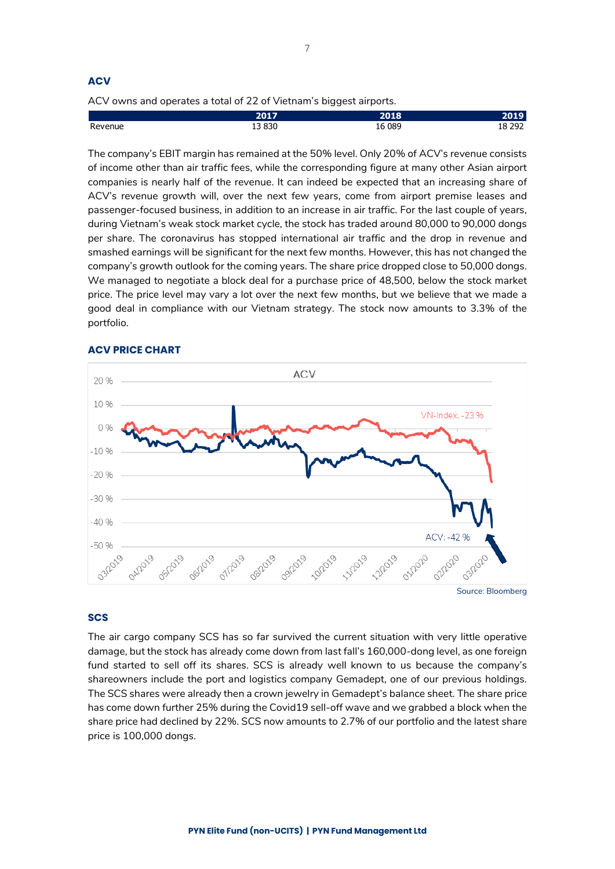### **ACV**

ACV owns and operates a total of 22 of Vietnam's biggest airports.

|         | <b>2017</b>      | <b>PO18</b> | . .              |
|---------|------------------|-------------|------------------|
| Revenue | <b>3830</b><br>∸ | 089<br>6    | າດາ<br>⊥∪<br>--- |

The company's EBIT margin has remained at the 50% level. Only 20% of ACV's revenue consists of income other than air traffic fees, while the corresponding figure at many other Asian airport companies is nearly half of the revenue. It can indeed be expected that an increasing share of ACV's revenue growth will, over the next few years, come from airport premise leases and passenger-focused business, in addition to an increase in air traffic. For the last couple of years, during Vietnam's weak stock market cycle, the stock has traded around 80,000 to 90,000 dongs per share. The coronavirus has stopped international air traffic and the drop in revenue and smashed earnings will be significant for the next few months. However, this has not changed the company's growth outlook for the coming years. The share price dropped close to 50,000 dongs. We managed to negotiate a block deal for a purchase price of 48,500, below the stock market price. The price level may vary a lot over the next few months, but we believe that we made a good deal in compliance with our Vietnam strategy. The stock now amounts to 3.3% of the portfolio.



### **ACV PRICE CHART**

### **SCS**

The air cargo company SCS has so far survived the current situation with very little operative damage, but the stock has already come down from last fall's 160,000-dong level, as one foreign fund started to sell off its shares. SCS is already well known to us because the company's shareowners include the port and logistics company Gemadept, one of our previous holdings. The SCS shares were already then a crown jewelry in Gemadept's balance sheet. The share price has come down further 25% during the Covid19 sell-off wave and we grabbed a block when the share price had declined by 22%. SCS now amounts to 2.7% of our portfolio and the latest share price is 100,000 dongs.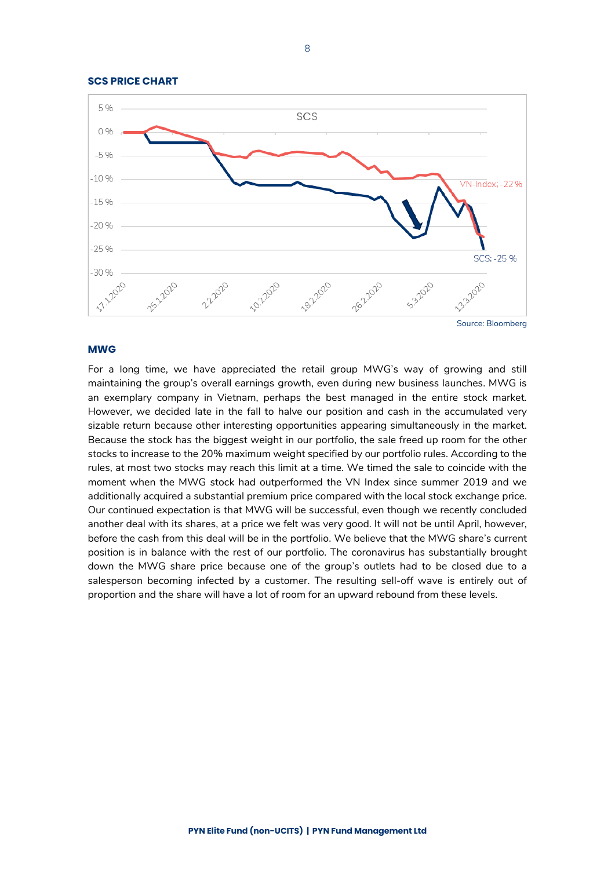

### **MWG**

For a long time, we have appreciated the retail group MWG's way of growing and still maintaining the group's overall earnings growth, even during new business launches. MWG is an exemplary company in Vietnam, perhaps the best managed in the entire stock market. However, we decided late in the fall to halve our position and cash in the accumulated very sizable return because other interesting opportunities appearing simultaneously in the market. Because the stock has the biggest weight in our portfolio, the sale freed up room for the other stocks to increase to the 20% maximum weight specified by our portfolio rules. According to the rules, at most two stocks may reach this limit at a time. We timed the sale to coincide with the moment when the MWG stock had outperformed the VN Index since summer 2019 and we additionally acquired a substantial premium price compared with the local stock exchange price. Our continued expectation is that MWG will be successful, even though we recently concluded another deal with its shares, at a price we felt was very good. It will not be until April, however, before the cash from this deal will be in the portfolio. We believe that the MWG share's current position is in balance with the rest of our portfolio. The coronavirus has substantially brought down the MWG share price because one of the group's outlets had to be closed due to a salesperson becoming infected by a customer. The resulting sell-off wave is entirely out of proportion and the share will have a lot of room for an upward rebound from these levels.

**SCS PRICE CHART**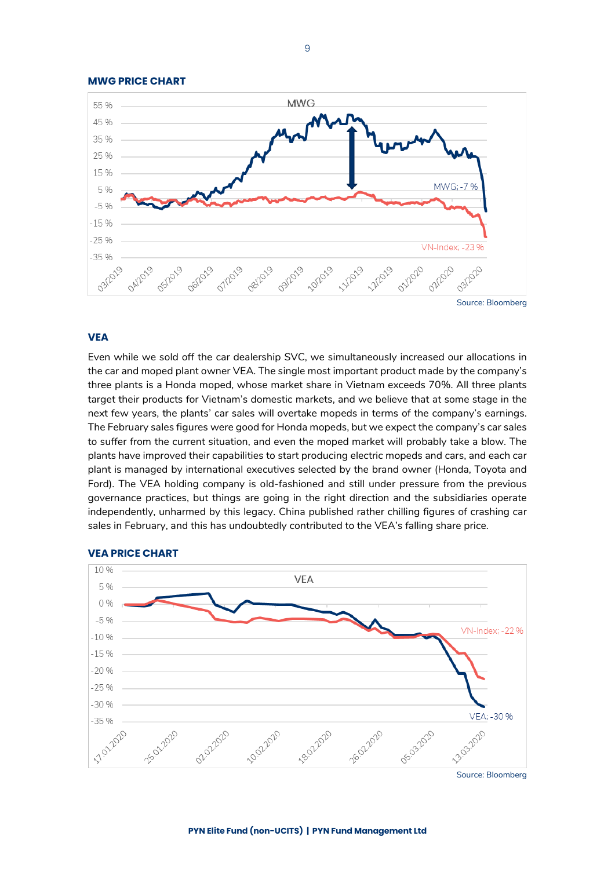

### **MWG PRICE CHART**

### **VEA**

Even while we sold off the car dealership SVC, we simultaneously increased our allocations in the car and moped plant owner VEA. The single most important product made by the company's three plants is a Honda moped, whose market share in Vietnam exceeds 70%. All three plants target their products for Vietnam's domestic markets, and we believe that at some stage in the next few years, the plants' car sales will overtake mopeds in terms of the company's earnings. The February sales figures were good for Honda mopeds, but we expect the company's car sales to suffer from the current situation, and even the moped market will probably take a blow. The plants have improved their capabilities to start producing electric mopeds and cars, and each car plant is managed by international executives selected by the brand owner (Honda, Toyota and Ford). The VEA holding company is old-fashioned and still under pressure from the previous governance practices, but things are going in the right direction and the subsidiaries operate independently, unharmed by this legacy. China published rather chilling figures of crashing car sales in February, and this has undoubtedly contributed to the VEA's falling share price.



#### **VEA PRICE CHART**

Source: Bloomberg